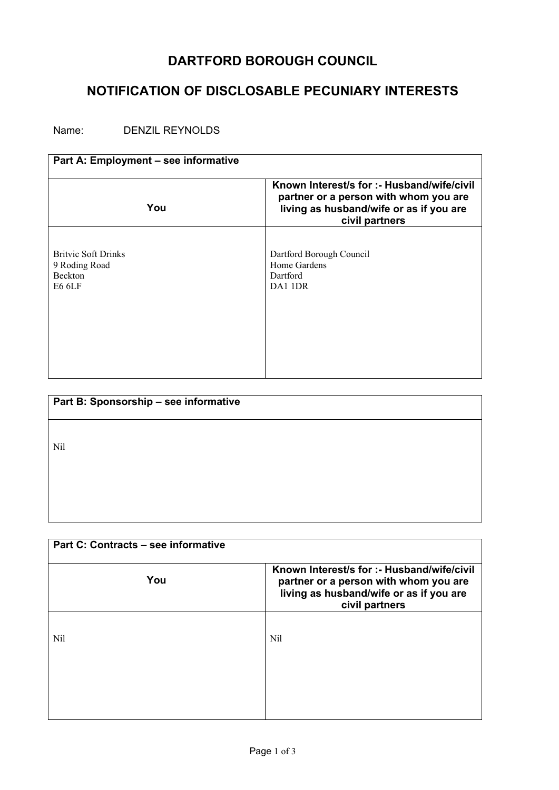## **DARTFORD BOROUGH COUNCIL**

## **NOTIFICATION OF DISCLOSABLE PECUNIARY INTERESTS**

Name: DENZIL REYNOLDS

| Part A: Employment - see informative                                    |                                                                                                                                                  |
|-------------------------------------------------------------------------|--------------------------------------------------------------------------------------------------------------------------------------------------|
| You                                                                     | Known Interest/s for :- Husband/wife/civil<br>partner or a person with whom you are<br>living as husband/wife or as if you are<br>civil partners |
| <b>Britvic Soft Drinks</b><br>9 Roding Road<br><b>Beckton</b><br>E6 6LF | Dartford Borough Council<br>Home Gardens<br>Dartford<br>DA1 1DR                                                                                  |

| Part B: Sponsorship - see informative |  |
|---------------------------------------|--|
|                                       |  |
| Nil                                   |  |
|                                       |  |
|                                       |  |
|                                       |  |

| Part C: Contracts – see informative |                                                                                                                                                  |
|-------------------------------------|--------------------------------------------------------------------------------------------------------------------------------------------------|
| You                                 | Known Interest/s for :- Husband/wife/civil<br>partner or a person with whom you are<br>living as husband/wife or as if you are<br>civil partners |
| Nil                                 | <b>Nil</b>                                                                                                                                       |
|                                     |                                                                                                                                                  |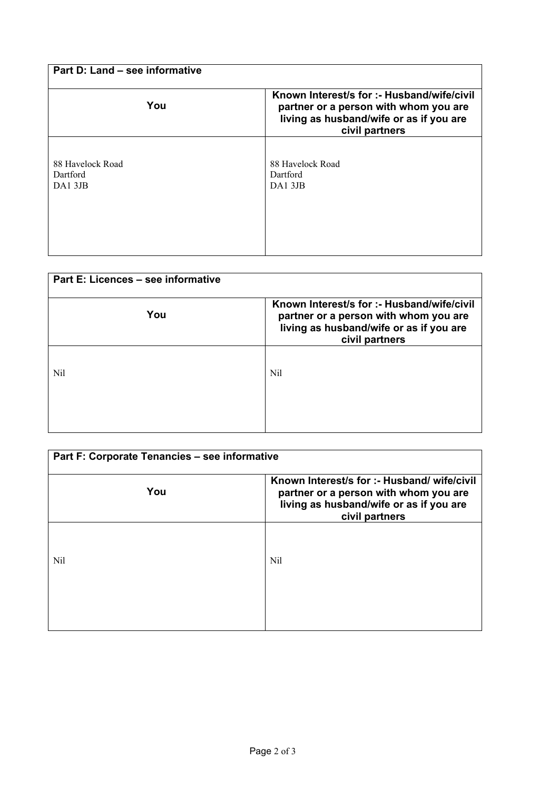| Part D: Land – see informative         |                                                                                                                                                  |
|----------------------------------------|--------------------------------------------------------------------------------------------------------------------------------------------------|
| You                                    | Known Interest/s for :- Husband/wife/civil<br>partner or a person with whom you are<br>living as husband/wife or as if you are<br>civil partners |
| 88 Havelock Road<br>Dartford<br>DA13JB | 88 Havelock Road<br>Dartford<br>DA13JB                                                                                                           |

| Part E: Licences - see informative |                                                                                                                                                  |
|------------------------------------|--------------------------------------------------------------------------------------------------------------------------------------------------|
| You                                | Known Interest/s for :- Husband/wife/civil<br>partner or a person with whom you are<br>living as husband/wife or as if you are<br>civil partners |
| Nil                                | Nil                                                                                                                                              |

| Part F: Corporate Tenancies - see informative |                                                                                                                                                   |
|-----------------------------------------------|---------------------------------------------------------------------------------------------------------------------------------------------------|
| You                                           | Known Interest/s for :- Husband/ wife/civil<br>partner or a person with whom you are<br>living as husband/wife or as if you are<br>civil partners |
| Nil                                           | Nil                                                                                                                                               |